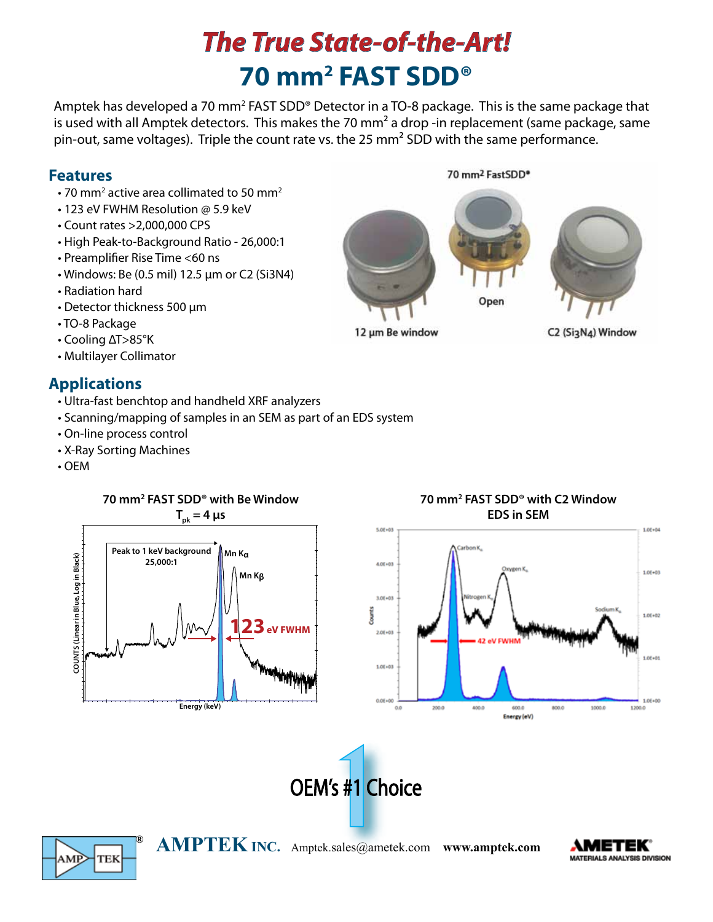# **70 mm2 FAST SDD®** *The True State-of-the-Art!*

Amptek has developed a 70 mm<sup>2</sup> FAST SDD® Detector in a TO-8 package. This is the same package that is used with all Amptek detectors. This makes the 70 mm<sup>2</sup> a drop -in replacement (same package, same pin-out, same voltages). Triple the count rate vs. the 25 mm² SDD with the same performance.

12 µm Be window

#### **Features**

- $\cdot$  70 mm<sup>2</sup> active area collimated to 50 mm<sup>2</sup>
	- 123 eV FWHM Resolution @ 5.9 keV
	- Count rates >2,000,000 CPS
	- High Peak-to-Background Ratio 26,000:1
	- Preamplifier Rise Time <60 ns
	- Windows: Be (0.5 mil) 12.5 µm or C2 (Si3N4)
	- Radiation hard
	- Detector thickness 500 µm
	- TO-8 Package
	- Cooling ΔT>85°K
	- Multilayer Collimator

### **Applications**

- Ultra-fast benchtop and handheld XRF analyzers
- Scanning/mapping of samples in an SEM as part of an EDS system
- On-line process control
- X-Ray Sorting Machines
- OEM











**® AMPTEK INC.** Amptek.sales@ametek.com **www.amptek.com**

**MATERIALS ANALYSIS DIVISION** 

70 mm<sup>2</sup> FastSDD<sup>®</sup>

Open

C2 (Si3N4) Window